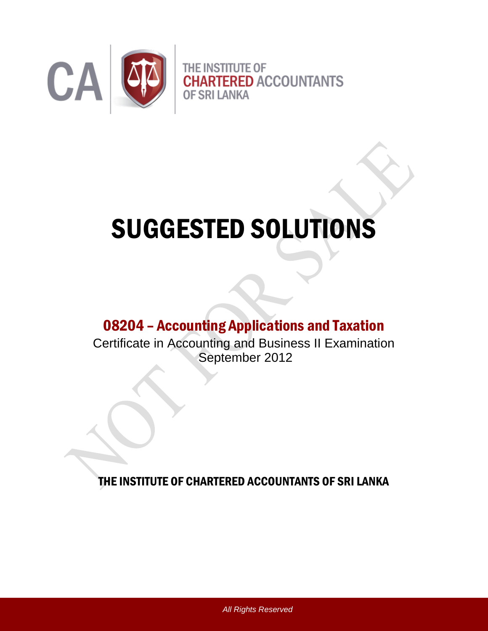

# SUGGESTED SOLUTIONS

## 08204 – Accounting Applications and Taxation

Certificate in Accounting and Business II Examination September 2012

THE INSTITUTE OF CHARTERED ACCOUNTANTS OF SRI LANKA

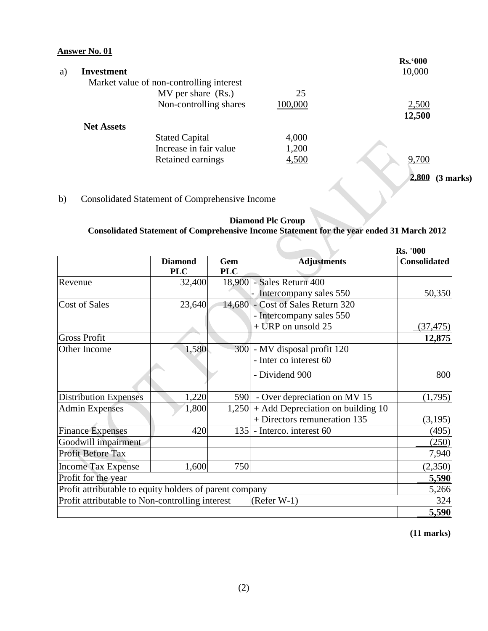|    | Answer No. 01     |                                          |         |                    |
|----|-------------------|------------------------------------------|---------|--------------------|
|    |                   |                                          |         | <b>Rs.</b> '000    |
| a) | Investment        |                                          |         | 10,000             |
|    |                   | Market value of non-controlling interest |         |                    |
|    |                   | MV per share (Rs.)                       | 25      |                    |
|    |                   | Non-controlling shares                   | 100,000 | 2,500              |
|    |                   |                                          |         | 12,500             |
|    | <b>Net Assets</b> |                                          |         |                    |
|    |                   | <b>Stated Capital</b>                    | 4,000   |                    |
|    |                   | Increase in fair value                   | 1,200   |                    |
|    |                   | Retained earnings                        | 4,500   | 9,700              |
|    |                   |                                          |         |                    |
|    |                   |                                          |         | 2,800<br>(3 marks) |

## b)Consolidated Statement of Comprehensive Income

### **Diamond Plc Group Consolidated Statement of Comprehensive Income Statement for the year ended 31 March 2012**

|                                                         |                |            |                                           | <b>Rs. '000</b>     |
|---------------------------------------------------------|----------------|------------|-------------------------------------------|---------------------|
|                                                         | <b>Diamond</b> | Gem        | <b>Adjustments</b>                        | <b>Consolidated</b> |
|                                                         | <b>PLC</b>     | <b>PLC</b> |                                           |                     |
| Revenue                                                 | 32,400         |            | 18,900 - Sales Return 400                 |                     |
|                                                         |                |            | - Intercompany sales 550                  | 50,350              |
| <b>Cost of Sales</b>                                    | 23,640         |            | 14,680 - Cost of Sales Return 320         |                     |
|                                                         |                |            | - Intercompany sales 550                  |                     |
|                                                         |                |            | $+$ URP on unsold 25                      | (37, 475)           |
| <b>Gross Profit</b>                                     |                |            |                                           | 12,875              |
| Other Income                                            | 1,580          |            | 300 - MV disposal profit 120              |                     |
|                                                         |                |            | - Inter co interest 60                    |                     |
|                                                         |                |            | - Dividend 900                            | 800                 |
|                                                         |                |            |                                           |                     |
| <b>Distribution Expenses</b>                            | 1,220          | 590        | - Over depreciation on MV 15              | (1,795)             |
| <b>Admin Expenses</b>                                   | 1,800          |            | $1,250$ + Add Depreciation on building 10 |                     |
|                                                         |                |            | + Directors remuneration 135              | (3,195)             |
| <b>Finance Expenses</b>                                 | 420            |            | 135 - Interco. interest 60                | (495)               |
| Goodwill impairment                                     |                |            |                                           | (250)               |
| Profit Before Tax                                       |                |            |                                           | 7,940               |
| <b>Income Tax Expense</b>                               | 1,600          | 750        |                                           | (2,350)             |
| Profit for the year                                     |                |            |                                           | 5,590               |
| Profit attributable to equity holders of parent company |                |            |                                           | 5,266               |
| Profit attributable to Non-controlling interest         |                |            | $(Refer W-1)$                             | 324                 |
|                                                         |                |            |                                           | 5,590               |

**(11 marks)**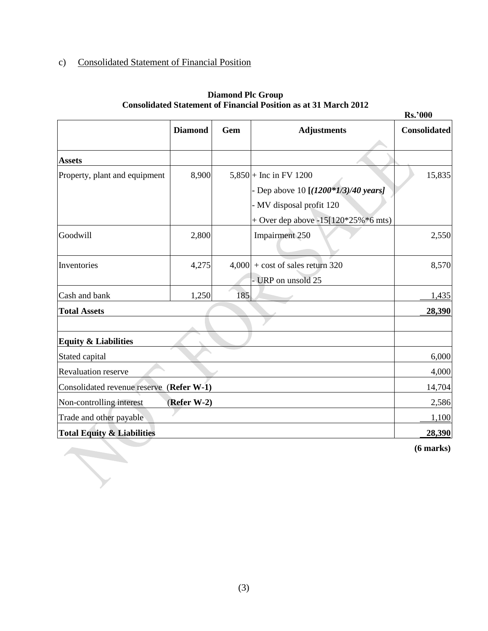## c) Consolidated Statement of Financial Position

|                                          |                |     |                                        | <b>Rs.'000</b>      |
|------------------------------------------|----------------|-----|----------------------------------------|---------------------|
|                                          | <b>Diamond</b> | Gem | <b>Adjustments</b>                     | <b>Consolidated</b> |
| <b>Assets</b>                            |                |     |                                        |                     |
| Property, plant and equipment            | 8,900          |     | 5,850 + Inc in FV 1200                 | 15,835              |
|                                          |                |     | - Dep above 10 [(1200*1/3)/40 years]   |                     |
|                                          |                |     | - MV disposal profit 120               |                     |
|                                          |                |     | + Over dep above $-15[120*25\%*6$ mts) |                     |
| Goodwill                                 | 2,800          |     | <b>Impairment 250</b>                  | 2,550               |
| Inventories                              | 4,275          |     | $4,000$ + cost of sales return 320     | 8,570               |
|                                          |                |     | - URP on unsold 25                     |                     |
| Cash and bank                            | 1,250          | 185 |                                        | 1,435               |
| <b>Total Assets</b>                      |                |     |                                        | 28,390              |
|                                          |                |     |                                        |                     |
| <b>Equity &amp; Liabilities</b>          |                |     |                                        |                     |
| Stated capital                           |                |     |                                        | 6,000               |
| <b>Revaluation reserve</b>               |                |     |                                        | 4,000               |
| Consolidated revenue reserve (Refer W-1) |                |     |                                        | 14,704              |
| Non-controlling interest                 | (Refer W-2)    |     |                                        | 2,586               |
| Trade and other payable                  |                |     |                                        | 1,100               |
| <b>Total Equity &amp; Liabilities</b>    |                |     |                                        | 28,390              |
|                                          |                |     |                                        |                     |

#### **Diamond Plc Group Consolidated Statement of Financial Position as at 31 March 2012**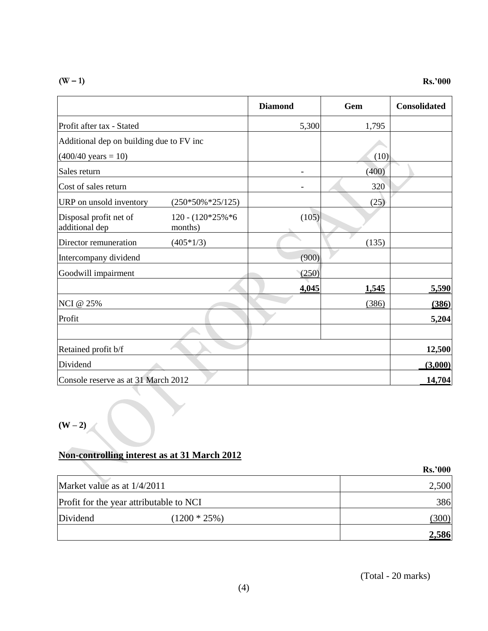**(W – 1) Rs.'000**

|                                          |                                  | <b>Diamond</b> | Gem   | <b>Consolidated</b> |
|------------------------------------------|----------------------------------|----------------|-------|---------------------|
| Profit after tax - Stated                |                                  | 5,300          | 1,795 |                     |
| Additional dep on building due to FV inc |                                  |                |       |                     |
| $(400/40 \text{ years} = 10)$            |                                  |                | (10)  |                     |
| Sales return                             |                                  |                | (400) |                     |
| Cost of sales return                     |                                  |                | 320   |                     |
| URP on unsold inventory                  | $(250*50\% * 25/125)$            |                | (25)  |                     |
| Disposal profit net of<br>additional dep | $120 - (120*25\% * 6$<br>months) | (105)          |       |                     |
| Director remuneration                    | $(405*1/3)$                      |                | (135) |                     |
| Intercompany dividend                    |                                  | (900)          |       |                     |
| Goodwill impairment                      |                                  | (250)          |       |                     |
|                                          |                                  | 4,045          | 1,545 | 5,590               |
| <b>NCI</b> @ 25%                         |                                  |                | (386) | (386)               |
| Profit                                   |                                  |                |       | 5,204               |
|                                          |                                  |                |       |                     |
| Retained profit b/f                      |                                  |                |       | 12,500              |
| Dividend                                 |                                  |                |       | (3,000)             |
| Console reserve as at 31 March 2012      |                                  |                |       | 14,704              |

 $(W - 2)$ 

## **Non-controlling interest as at 31 March 2012**

|                                         |                 | <b>Rs.'000</b> |
|-----------------------------------------|-----------------|----------------|
| Market value as at 1/4/2011             |                 | 2,500          |
| Profit for the year attributable to NCI |                 | 386            |
| Dividend                                | $(1200 * 25\%)$ | ,300)          |
|                                         |                 | 2,586          |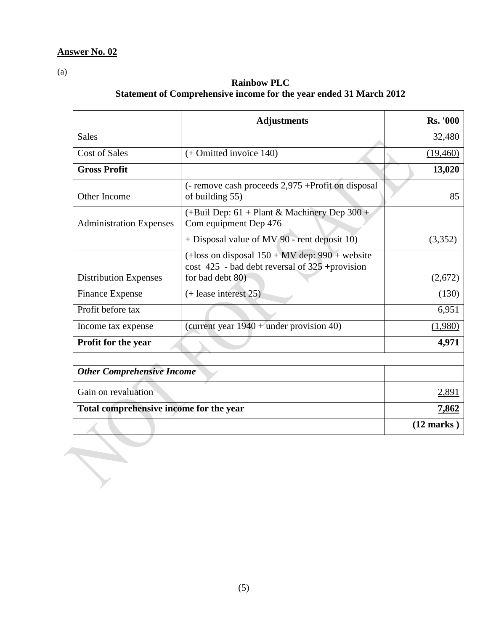$\overline{\mathcal{C}}$ 

(a)

## **Rainbow PLC Statement of Comprehensive income for the year ended 31 March 2012**

|                                         | <b>Adjustments</b>                                                                                         | <b>Rs. '000</b> |
|-----------------------------------------|------------------------------------------------------------------------------------------------------------|-----------------|
| <b>Sales</b>                            |                                                                                                            | 32,480          |
| <b>Cost of Sales</b>                    | $(+$ Omitted invoice 140)                                                                                  | (19, 460)       |
| <b>Gross Profit</b>                     |                                                                                                            | 13,020          |
| Other Income                            | (- remove cash proceeds 2,975 +Profit on disposal<br>of building 55)                                       | 85              |
| <b>Administration Expenses</b>          | $(+$ Buil Dep: 61 + Plant & Machinery Dep 300 +<br>Com equipment Dep 476                                   |                 |
|                                         | $+$ Disposal value of MV 90 - rent deposit 10)                                                             | (3,352)         |
|                                         | $(+$ loss on disposal $150 + MV$ dep: 990 + website<br>$\cos t$ 425 - bad debt reversal of 325 + provision |                 |
| <b>Distribution Expenses</b>            | for bad debt 80)                                                                                           | (2,672)         |
| <b>Finance Expense</b>                  | $(+$ lease interest 25)                                                                                    | (130)           |
| Profit before tax                       |                                                                                                            | 6,951           |
| Income tax expense                      | (current year $1940 +$ under provision 40)                                                                 | (1,980)         |
| Profit for the year                     |                                                                                                            | 4,971           |
|                                         |                                                                                                            |                 |
| <b>Other Comprehensive Income</b>       |                                                                                                            |                 |
| Gain on revaluation                     | 2,891                                                                                                      |                 |
| Total comprehensive income for the year |                                                                                                            | 7,862           |
|                                         |                                                                                                            | $(12$ marks)    |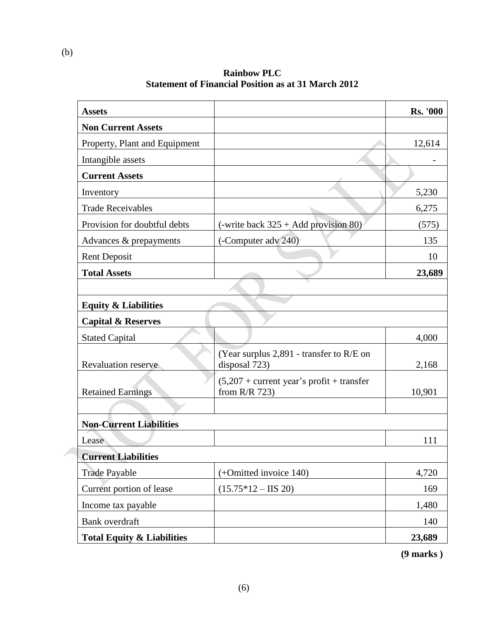**Assets Rs. '000 Non Current Assets** Property, Plant and Equipment 12,614 Intangible assets and the contract of the contract of the contract of the contract of the contract of the contract of the contract of the contract of the contract of the contract of the contract of the contract of the cont **Current Assets** Inventory 5,230 Trade Receivables 6,275 Provision for doubtful debts  $|($ -write back 325 + Add provision 80) (575) Advances & prepayments (-Computer adv 240) 135 Rent Deposit 10 **Total Assets** 23,689 **Equity & Liabilities Capital & Reserves** Stated Capital 4,000 Revaluation reserve (Year surplus 2,891 - transfer to R/E on disposal 723)  $2,168$ Retained Earnings  $(5,207 +$  current year's profit + transfer from R/R 723) 10,901 **Non-Current Liabilities** Lease 111 **Current Liabilities** Trade Payable (+Omitted invoice 140) 4,720 Current portion of lease  $(15.75*12 - IIS 20)$  169 Income tax payable 1,480 Bank overdraft 140 Total **Equity & Liabilities** 23,689

**Rainbow PLC Statement of Financial Position as at 31 March 2012**

**(9 marks )**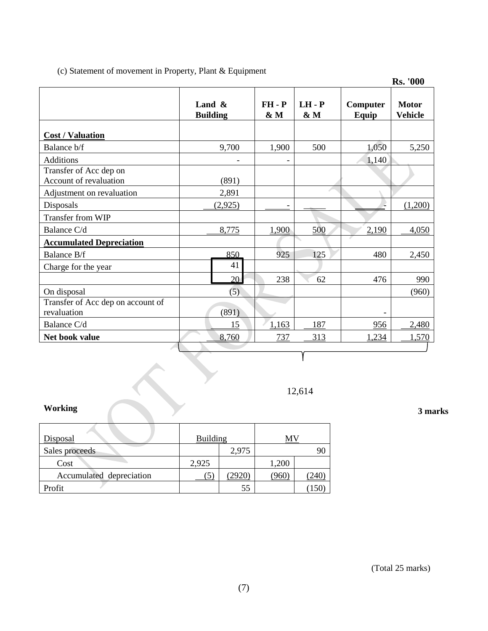(c) Statement of movement in Property, Plant & Equipment

|                                                  |                              |                 |                            |                   | <b>Rs. '000</b>                |
|--------------------------------------------------|------------------------------|-----------------|----------------------------|-------------------|--------------------------------|
|                                                  | Land $\&$<br><b>Building</b> | $FH - P$<br>& M | $LH - P$<br>$\&\mathbf{M}$ | Computer<br>Equip | <b>Motor</b><br><b>Vehicle</b> |
| <b>Cost / Valuation</b>                          |                              |                 |                            |                   |                                |
| Balance b/f                                      | 9,700                        | 1,900           | 500                        | 1,050             | 5,250                          |
| <b>Additions</b>                                 |                              |                 |                            | 1,140             |                                |
| Transfer of Acc dep on<br>Account of revaluation | (891)                        |                 |                            |                   |                                |
| Adjustment on revaluation                        | 2,891                        |                 |                            |                   |                                |
| Disposals                                        | (2,925)                      |                 |                            |                   | (1,200)                        |
| Transfer from WIP                                |                              |                 |                            |                   |                                |
| Balance C/d                                      | 8,775                        | 1,900           | 500                        | 2,190             | 4,050                          |
| <b>Accumulated Depreciation</b>                  |                              |                 |                            |                   |                                |
| <b>Balance B/f</b>                               | 850                          | 925             | 125                        | 480               | 2,450                          |
| Charge for the year                              | 41                           |                 |                            |                   |                                |
|                                                  | 20                           | 238             | 62                         | 476               | 990                            |
| On disposal                                      | (5)                          |                 |                            |                   | (960)                          |
| Transfer of Acc dep on account of<br>revaluation | (891)                        |                 |                            |                   |                                |
| Balance C/d                                      | 15                           | 1,163           | 187                        | 956               | 2,480                          |
| Net book value                                   | 8,760                        | 737             | 313                        | 1,234             | 1,570                          |

12,614

Y

#### **Working**

| <b>Disposal</b>          | <b>Building</b> |       |       |  |
|--------------------------|-----------------|-------|-------|--|
| Sales proceeds           |                 | 2,975 |       |  |
| Cost                     | 2,925           |       | 1,200 |  |
| Accumulated depreciation |                 | 2920  | 960   |  |
| Profit                   |                 | 55    |       |  |

**3 marks**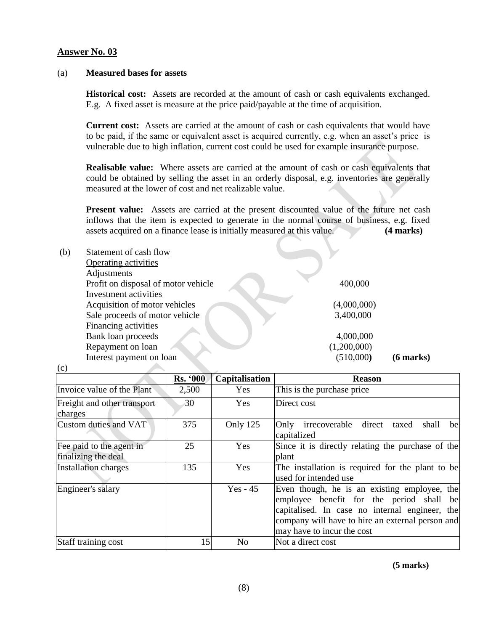#### (a) **Measured bases for assets**

**Historical cost:** Assets are recorded at the amount of cash or cash equivalents exchanged. E.g. A fixed asset is measure at the price paid/payable at the time of acquisition.

**Current cost:** Assets are carried at the amount of cash or cash equivalents that would have to be paid, if the same or equivalent asset is acquired currently, e.g. when an asset's price is vulnerable due to high inflation, current cost could be used for example insurance purpose.

**Realisable value:** Where assets are carried at the amount of cash or cash equivalents that could be obtained by selling the asset in an orderly disposal, e.g. inventories are generally measured at the lower of cost and net realizable value.

**Present value:** Assets are carried at the present discounted value of the future net cash inflows that the item is expected to generate in the normal course of business, e.g. fixed assets acquired on a finance lease is initially measured at this value. **(4 marks)**

| (b) | Statement of cash flow              |             |             |
|-----|-------------------------------------|-------------|-------------|
|     | <b>Operating activities</b>         |             |             |
|     | Adjustments                         |             |             |
|     | Profit on disposal of motor vehicle | 400,000     |             |
|     | Investment activities               |             |             |
|     | Acquisition of motor vehicles       | (4,000,000) |             |
|     | Sale proceeds of motor vehicle      | 3,400,000   |             |
|     | <b>Financing activities</b>         |             |             |
|     | Bank loan proceeds                  | 4,000,000   |             |
|     | Repayment on loan                   | (1,200,000) |             |
|     | Interest payment on loan            | (510,000)   | $(6$ marks) |
| (c) |                                     |             |             |

|                                                 | <b>Rs. '000</b> | Capitalisation | <b>Reason</b>                                                                                                                                                                                                                |
|-------------------------------------------------|-----------------|----------------|------------------------------------------------------------------------------------------------------------------------------------------------------------------------------------------------------------------------------|
| Invoice value of the Plant                      | 2,500           | Yes            | This is the purchase price                                                                                                                                                                                                   |
| Freight and other transport<br>charges          | 30              | <b>Yes</b>     | Direct cost                                                                                                                                                                                                                  |
| Custom duties and VAT                           | 375             | Only 125       | Only irrecoverable direct<br>taxed<br>shall<br>bel<br>capitalized                                                                                                                                                            |
| Fee paid to the agent in<br>finalizing the deal | 25              | Yes            | Since it is directly relating the purchase of the<br>plant                                                                                                                                                                   |
| <b>Installation charges</b>                     | 135             | Yes            | The installation is required for the plant to be<br>used for intended use                                                                                                                                                    |
| Engineer's salary                               |                 | $Yes - 45$     | Even though, he is an existing employee, the<br>employee benefit for the period shall be<br>capitalised. In case no internal engineer, the<br>company will have to hire an external person and<br>may have to incur the cost |
| Staff training cost                             | 15              | N <sub>o</sub> | Not a direct cost                                                                                                                                                                                                            |

 **(5 marks)**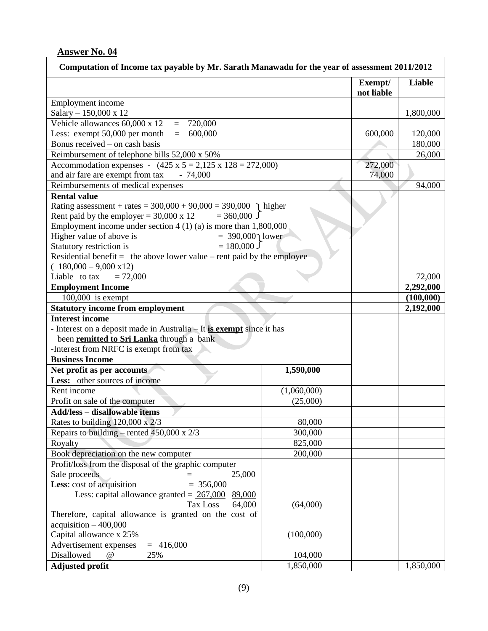| <b>Liable</b><br>Exempt/<br>not liable<br>Employment income<br>Salary - 150,000 x 12<br>1,800,000<br>Vehicle allowances 60,000 x 12<br>720,000<br>$=$<br>Less: exempt 50,000 per month<br>600,000<br>600,000<br>$\equiv$<br>120,000<br>Bonus received $-\text{on cash basis}$<br>180,000<br>Reimbursement of telephone bills 52,000 x 50%<br>26,000<br>Accommodation expenses - $(425 \times 5 = 2,125 \times 128 = 272,000)$<br>272,000<br>and air fare are exempt from tax<br>$-74,000$<br>74,000<br>Reimbursements of medical expenses<br>94,000<br><b>Rental value</b><br>Rating assessment + rates = $300,000 + 90,000 = 390,000$ ] higher<br>$= 360,000$ J<br>Rent paid by the employer = $30,000 \times 12$<br>Employment income under section $4(1)(a)$ is more than 1,800,000<br>Higher value of above is<br>= 390,000   lower<br>$= 180,000$<br>Statutory restriction is<br>Residential benefit = the above lower value – rent paid by the employee<br>$(180,000 - 9,000 \text{ x}12)$<br>Liable to tax<br>$= 72,000$<br>72,000<br><b>Employment Income</b><br>2,292,000<br>$100,000$ is exempt<br>(100,000)<br><b>Statutory income from employment</b><br>2,192,000<br><b>Interest income</b><br>- Interest on a deposit made in Australia – It is exempt since it has<br>been remitted to Sri Lanka through a bank<br>-Interest from NRFC is exempt from tax<br><b>Business Income</b><br>Net profit as per accounts<br>1,590,000<br>Less: other sources of income<br>Rent income<br>(1,060,000)<br>Profit on sale of the computer<br>(25,000)<br><b>Add/less - disallowable items</b><br>80,000<br>Rates to building $120,000 \times 2/3$<br>Repairs to building – rented $450,000 \times 2/3$<br>300,000<br>Royalty<br>825,000<br>200,000<br>Book depreciation on the new computer<br>Profit/loss from the disposal of the graphic computer<br>Sale proceeds<br>25,000<br>Less: cost of acquisition<br>$= 356,000$<br>Less: capital allowance granted = $267,000$<br>89,000<br>Tax Loss<br>64,000<br>(64,000)<br>Therefore, capital allowance is granted on the cost of<br>$acquisition - 400,000$<br>Capital allowance x 25%<br>(100,000)<br>$= 416,000$<br>Advertisement expenses<br>Disallowed<br>25%<br>$\omega$<br>104,000 | Computation of Income tax payable by Mr. Sarath Manawadu for the year of assessment 2011/2012 |           |           |
|-----------------------------------------------------------------------------------------------------------------------------------------------------------------------------------------------------------------------------------------------------------------------------------------------------------------------------------------------------------------------------------------------------------------------------------------------------------------------------------------------------------------------------------------------------------------------------------------------------------------------------------------------------------------------------------------------------------------------------------------------------------------------------------------------------------------------------------------------------------------------------------------------------------------------------------------------------------------------------------------------------------------------------------------------------------------------------------------------------------------------------------------------------------------------------------------------------------------------------------------------------------------------------------------------------------------------------------------------------------------------------------------------------------------------------------------------------------------------------------------------------------------------------------------------------------------------------------------------------------------------------------------------------------------------------------------------------------------------------------------------------------------------------------------------------------------------------------------------------------------------------------------------------------------------------------------------------------------------------------------------------------------------------------------------------------------------------------------------------------------------------------------------------------------------------------------------------------------------------------------------|-----------------------------------------------------------------------------------------------|-----------|-----------|
|                                                                                                                                                                                                                                                                                                                                                                                                                                                                                                                                                                                                                                                                                                                                                                                                                                                                                                                                                                                                                                                                                                                                                                                                                                                                                                                                                                                                                                                                                                                                                                                                                                                                                                                                                                                                                                                                                                                                                                                                                                                                                                                                                                                                                                               |                                                                                               |           |           |
|                                                                                                                                                                                                                                                                                                                                                                                                                                                                                                                                                                                                                                                                                                                                                                                                                                                                                                                                                                                                                                                                                                                                                                                                                                                                                                                                                                                                                                                                                                                                                                                                                                                                                                                                                                                                                                                                                                                                                                                                                                                                                                                                                                                                                                               |                                                                                               |           |           |
|                                                                                                                                                                                                                                                                                                                                                                                                                                                                                                                                                                                                                                                                                                                                                                                                                                                                                                                                                                                                                                                                                                                                                                                                                                                                                                                                                                                                                                                                                                                                                                                                                                                                                                                                                                                                                                                                                                                                                                                                                                                                                                                                                                                                                                               |                                                                                               |           |           |
|                                                                                                                                                                                                                                                                                                                                                                                                                                                                                                                                                                                                                                                                                                                                                                                                                                                                                                                                                                                                                                                                                                                                                                                                                                                                                                                                                                                                                                                                                                                                                                                                                                                                                                                                                                                                                                                                                                                                                                                                                                                                                                                                                                                                                                               |                                                                                               |           |           |
|                                                                                                                                                                                                                                                                                                                                                                                                                                                                                                                                                                                                                                                                                                                                                                                                                                                                                                                                                                                                                                                                                                                                                                                                                                                                                                                                                                                                                                                                                                                                                                                                                                                                                                                                                                                                                                                                                                                                                                                                                                                                                                                                                                                                                                               |                                                                                               |           |           |
|                                                                                                                                                                                                                                                                                                                                                                                                                                                                                                                                                                                                                                                                                                                                                                                                                                                                                                                                                                                                                                                                                                                                                                                                                                                                                                                                                                                                                                                                                                                                                                                                                                                                                                                                                                                                                                                                                                                                                                                                                                                                                                                                                                                                                                               |                                                                                               |           |           |
|                                                                                                                                                                                                                                                                                                                                                                                                                                                                                                                                                                                                                                                                                                                                                                                                                                                                                                                                                                                                                                                                                                                                                                                                                                                                                                                                                                                                                                                                                                                                                                                                                                                                                                                                                                                                                                                                                                                                                                                                                                                                                                                                                                                                                                               |                                                                                               |           |           |
|                                                                                                                                                                                                                                                                                                                                                                                                                                                                                                                                                                                                                                                                                                                                                                                                                                                                                                                                                                                                                                                                                                                                                                                                                                                                                                                                                                                                                                                                                                                                                                                                                                                                                                                                                                                                                                                                                                                                                                                                                                                                                                                                                                                                                                               |                                                                                               |           |           |
|                                                                                                                                                                                                                                                                                                                                                                                                                                                                                                                                                                                                                                                                                                                                                                                                                                                                                                                                                                                                                                                                                                                                                                                                                                                                                                                                                                                                                                                                                                                                                                                                                                                                                                                                                                                                                                                                                                                                                                                                                                                                                                                                                                                                                                               |                                                                                               |           |           |
|                                                                                                                                                                                                                                                                                                                                                                                                                                                                                                                                                                                                                                                                                                                                                                                                                                                                                                                                                                                                                                                                                                                                                                                                                                                                                                                                                                                                                                                                                                                                                                                                                                                                                                                                                                                                                                                                                                                                                                                                                                                                                                                                                                                                                                               |                                                                                               |           |           |
|                                                                                                                                                                                                                                                                                                                                                                                                                                                                                                                                                                                                                                                                                                                                                                                                                                                                                                                                                                                                                                                                                                                                                                                                                                                                                                                                                                                                                                                                                                                                                                                                                                                                                                                                                                                                                                                                                                                                                                                                                                                                                                                                                                                                                                               |                                                                                               |           |           |
|                                                                                                                                                                                                                                                                                                                                                                                                                                                                                                                                                                                                                                                                                                                                                                                                                                                                                                                                                                                                                                                                                                                                                                                                                                                                                                                                                                                                                                                                                                                                                                                                                                                                                                                                                                                                                                                                                                                                                                                                                                                                                                                                                                                                                                               |                                                                                               |           |           |
|                                                                                                                                                                                                                                                                                                                                                                                                                                                                                                                                                                                                                                                                                                                                                                                                                                                                                                                                                                                                                                                                                                                                                                                                                                                                                                                                                                                                                                                                                                                                                                                                                                                                                                                                                                                                                                                                                                                                                                                                                                                                                                                                                                                                                                               |                                                                                               |           |           |
|                                                                                                                                                                                                                                                                                                                                                                                                                                                                                                                                                                                                                                                                                                                                                                                                                                                                                                                                                                                                                                                                                                                                                                                                                                                                                                                                                                                                                                                                                                                                                                                                                                                                                                                                                                                                                                                                                                                                                                                                                                                                                                                                                                                                                                               |                                                                                               |           |           |
|                                                                                                                                                                                                                                                                                                                                                                                                                                                                                                                                                                                                                                                                                                                                                                                                                                                                                                                                                                                                                                                                                                                                                                                                                                                                                                                                                                                                                                                                                                                                                                                                                                                                                                                                                                                                                                                                                                                                                                                                                                                                                                                                                                                                                                               |                                                                                               |           |           |
|                                                                                                                                                                                                                                                                                                                                                                                                                                                                                                                                                                                                                                                                                                                                                                                                                                                                                                                                                                                                                                                                                                                                                                                                                                                                                                                                                                                                                                                                                                                                                                                                                                                                                                                                                                                                                                                                                                                                                                                                                                                                                                                                                                                                                                               |                                                                                               |           |           |
|                                                                                                                                                                                                                                                                                                                                                                                                                                                                                                                                                                                                                                                                                                                                                                                                                                                                                                                                                                                                                                                                                                                                                                                                                                                                                                                                                                                                                                                                                                                                                                                                                                                                                                                                                                                                                                                                                                                                                                                                                                                                                                                                                                                                                                               |                                                                                               |           |           |
|                                                                                                                                                                                                                                                                                                                                                                                                                                                                                                                                                                                                                                                                                                                                                                                                                                                                                                                                                                                                                                                                                                                                                                                                                                                                                                                                                                                                                                                                                                                                                                                                                                                                                                                                                                                                                                                                                                                                                                                                                                                                                                                                                                                                                                               |                                                                                               |           |           |
|                                                                                                                                                                                                                                                                                                                                                                                                                                                                                                                                                                                                                                                                                                                                                                                                                                                                                                                                                                                                                                                                                                                                                                                                                                                                                                                                                                                                                                                                                                                                                                                                                                                                                                                                                                                                                                                                                                                                                                                                                                                                                                                                                                                                                                               |                                                                                               |           |           |
|                                                                                                                                                                                                                                                                                                                                                                                                                                                                                                                                                                                                                                                                                                                                                                                                                                                                                                                                                                                                                                                                                                                                                                                                                                                                                                                                                                                                                                                                                                                                                                                                                                                                                                                                                                                                                                                                                                                                                                                                                                                                                                                                                                                                                                               |                                                                                               |           |           |
|                                                                                                                                                                                                                                                                                                                                                                                                                                                                                                                                                                                                                                                                                                                                                                                                                                                                                                                                                                                                                                                                                                                                                                                                                                                                                                                                                                                                                                                                                                                                                                                                                                                                                                                                                                                                                                                                                                                                                                                                                                                                                                                                                                                                                                               |                                                                                               |           |           |
|                                                                                                                                                                                                                                                                                                                                                                                                                                                                                                                                                                                                                                                                                                                                                                                                                                                                                                                                                                                                                                                                                                                                                                                                                                                                                                                                                                                                                                                                                                                                                                                                                                                                                                                                                                                                                                                                                                                                                                                                                                                                                                                                                                                                                                               |                                                                                               |           |           |
|                                                                                                                                                                                                                                                                                                                                                                                                                                                                                                                                                                                                                                                                                                                                                                                                                                                                                                                                                                                                                                                                                                                                                                                                                                                                                                                                                                                                                                                                                                                                                                                                                                                                                                                                                                                                                                                                                                                                                                                                                                                                                                                                                                                                                                               |                                                                                               |           |           |
|                                                                                                                                                                                                                                                                                                                                                                                                                                                                                                                                                                                                                                                                                                                                                                                                                                                                                                                                                                                                                                                                                                                                                                                                                                                                                                                                                                                                                                                                                                                                                                                                                                                                                                                                                                                                                                                                                                                                                                                                                                                                                                                                                                                                                                               |                                                                                               |           |           |
|                                                                                                                                                                                                                                                                                                                                                                                                                                                                                                                                                                                                                                                                                                                                                                                                                                                                                                                                                                                                                                                                                                                                                                                                                                                                                                                                                                                                                                                                                                                                                                                                                                                                                                                                                                                                                                                                                                                                                                                                                                                                                                                                                                                                                                               |                                                                                               |           |           |
|                                                                                                                                                                                                                                                                                                                                                                                                                                                                                                                                                                                                                                                                                                                                                                                                                                                                                                                                                                                                                                                                                                                                                                                                                                                                                                                                                                                                                                                                                                                                                                                                                                                                                                                                                                                                                                                                                                                                                                                                                                                                                                                                                                                                                                               |                                                                                               |           |           |
|                                                                                                                                                                                                                                                                                                                                                                                                                                                                                                                                                                                                                                                                                                                                                                                                                                                                                                                                                                                                                                                                                                                                                                                                                                                                                                                                                                                                                                                                                                                                                                                                                                                                                                                                                                                                                                                                                                                                                                                                                                                                                                                                                                                                                                               |                                                                                               |           |           |
|                                                                                                                                                                                                                                                                                                                                                                                                                                                                                                                                                                                                                                                                                                                                                                                                                                                                                                                                                                                                                                                                                                                                                                                                                                                                                                                                                                                                                                                                                                                                                                                                                                                                                                                                                                                                                                                                                                                                                                                                                                                                                                                                                                                                                                               |                                                                                               |           |           |
|                                                                                                                                                                                                                                                                                                                                                                                                                                                                                                                                                                                                                                                                                                                                                                                                                                                                                                                                                                                                                                                                                                                                                                                                                                                                                                                                                                                                                                                                                                                                                                                                                                                                                                                                                                                                                                                                                                                                                                                                                                                                                                                                                                                                                                               |                                                                                               |           |           |
|                                                                                                                                                                                                                                                                                                                                                                                                                                                                                                                                                                                                                                                                                                                                                                                                                                                                                                                                                                                                                                                                                                                                                                                                                                                                                                                                                                                                                                                                                                                                                                                                                                                                                                                                                                                                                                                                                                                                                                                                                                                                                                                                                                                                                                               |                                                                                               |           |           |
|                                                                                                                                                                                                                                                                                                                                                                                                                                                                                                                                                                                                                                                                                                                                                                                                                                                                                                                                                                                                                                                                                                                                                                                                                                                                                                                                                                                                                                                                                                                                                                                                                                                                                                                                                                                                                                                                                                                                                                                                                                                                                                                                                                                                                                               |                                                                                               |           |           |
|                                                                                                                                                                                                                                                                                                                                                                                                                                                                                                                                                                                                                                                                                                                                                                                                                                                                                                                                                                                                                                                                                                                                                                                                                                                                                                                                                                                                                                                                                                                                                                                                                                                                                                                                                                                                                                                                                                                                                                                                                                                                                                                                                                                                                                               | <b>Adjusted profit</b>                                                                        | 1,850,000 | 1,850,000 |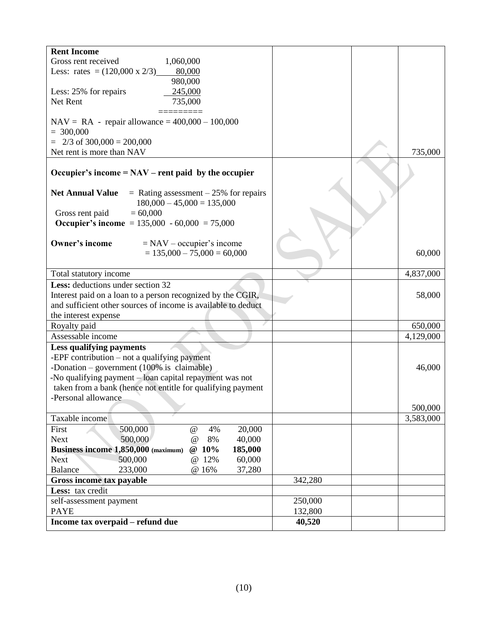| <b>Rent Income</b>                                                  |                      |
|---------------------------------------------------------------------|----------------------|
| Gross rent received<br>1,060,000                                    |                      |
| Less: rates = $(120,000 \times 2/3)$ 80,000                         |                      |
| 980,000                                                             |                      |
| 245,000<br>Less: 25% for repairs                                    |                      |
| 735,000<br>Net Rent                                                 |                      |
|                                                                     |                      |
| $NAV = RA - repair$ allowance = 400,000 - 100,000                   |                      |
| $= 300,000$                                                         |                      |
| $2/3$ of 300,000 = 200,000                                          |                      |
| Net rent is more than NAV                                           | 735,000              |
| Occupier's income = $NAV$ – rent paid by the occupier               |                      |
|                                                                     |                      |
| <b>Net Annual Value</b><br>$=$ Rating assessment $-25%$ for repairs |                      |
| $180,000 - 45,000 = 135,000$                                        |                      |
| $= 60,000$<br>Gross rent paid                                       |                      |
| Occupier's income = $135,000 - 60,000 = 75,000$                     |                      |
|                                                                     |                      |
| Owner's income<br>$=$ NAV – occupier's income                       |                      |
| $= 135,000 - 75,000 = 60,000$                                       | 60,000               |
|                                                                     |                      |
| Total statutory income                                              | 4,837,000            |
| Less: deductions under section 32                                   |                      |
| Interest paid on a loan to a person recognized by the CGIR,         | 58,000               |
| and sufficient other sources of income is available to deduct       |                      |
| the interest expense                                                |                      |
| Royalty paid                                                        | 650,000              |
| Assessable income                                                   | 4,129,000            |
| <b>Less qualifying payments</b>                                     |                      |
| -EPF contribution $-$ not a qualifying payment                      |                      |
| -Donation – government (100% is claimable)                          | 46,000               |
| -No qualifying payment - loan capital repayment was not             |                      |
| taken from a bank (hence not entitle for qualifying payment         |                      |
| -Personal allowance                                                 |                      |
| Taxable income                                                      | 500,000<br>3,583,000 |
| First<br>500,000<br>4%<br>20,000<br>$\omega$                        |                      |
| 500,000<br><b>Next</b><br>8%<br>40,000<br>$\omega$                  |                      |
| Business income 1,850,000 (maximum)<br>@ 10%<br>185,000             |                      |
| 500,000<br>@ 12%<br>60,000<br><b>Next</b>                           |                      |
| 233,000<br>37,280<br><b>Balance</b><br>@ 16%                        |                      |
| Gross income tax payable                                            | 342,280              |
| Less: tax credit                                                    |                      |
| self-assessment payment                                             | 250,000              |
| <b>PAYE</b>                                                         | 132,800              |
| Income tax overpaid - refund due                                    | 40,520               |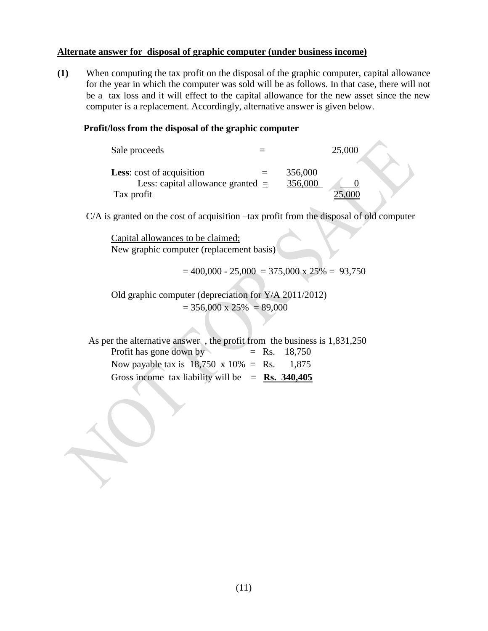#### **Alternate answer for disposal of graphic computer (under business income)**

**(1)** When computing the tax profit on the disposal of the graphic computer, capital allowance for the year in which the computer was sold will be as follows. In that case, there will not be a tax loss and it will effect to the capital allowance for the new asset since the new computer is a replacement. Accordingly, alternative answer is given below.

#### **Profit/loss from the disposal of the graphic computer**

| Sale proceeds                                                                         |                    | 25,000 |  |
|---------------------------------------------------------------------------------------|--------------------|--------|--|
| <b>Less:</b> cost of acquisition<br>Less: capital allowance granted $=$<br>Tax profit | 356,000<br>356,000 |        |  |

C/A is granted on the cost of acquisition –tax profit from the disposal of old computer

Capital allowances to be claimed; New graphic computer (replacement basis)

 $= 400,000 - 25,000 = 375,000 \times 25\% = 93,750$ 

Old graphic computer (depreciation for Y/A 2011/2012)  $= 356,000 \times 25\% = 89,000$ 

 As per the alternative answer , the profit from the business is 1,831,250 Profit has gone down by  $=$  Rs. 18,750 Now payable tax is  $18,750 \times 10\% = \text{Rs.} \quad 1,875$ Gross income tax liability will be  $=$  **Rs. 340,405**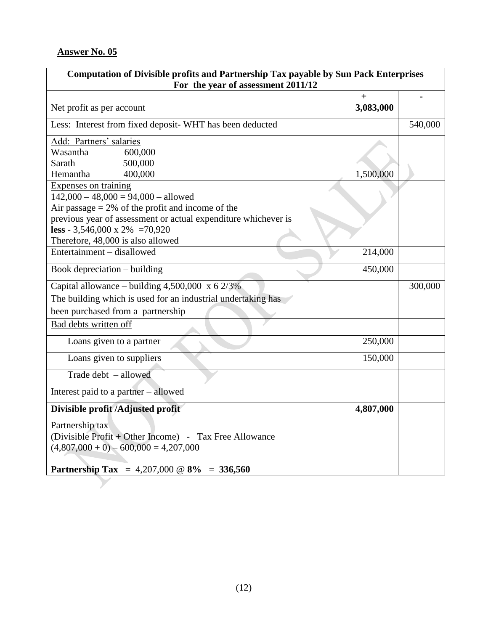$\blacktriangledown$ 

| Computation of Divisible profits and Partnership Tax payable by Sun Pack Enterprises |           |                |  |  |  |
|--------------------------------------------------------------------------------------|-----------|----------------|--|--|--|
| For the year of assessment 2011/12                                                   |           |                |  |  |  |
|                                                                                      | $^{+}$    | $\blacksquare$ |  |  |  |
| Net profit as per account                                                            | 3,083,000 |                |  |  |  |
| Less: Interest from fixed deposit- WHT has been deducted                             |           | 540,000        |  |  |  |
| Add: Partners' salaries                                                              |           |                |  |  |  |
| Wasantha<br>600,000                                                                  |           |                |  |  |  |
| 500,000<br>Sarath                                                                    |           |                |  |  |  |
| 400,000<br>Hemantha                                                                  | 1,500,000 |                |  |  |  |
| Expenses on training                                                                 |           |                |  |  |  |
| $142,000 - 48,000 = 94,000 - \text{allowed}$                                         |           |                |  |  |  |
| Air passage $= 2\%$ of the profit and income of the                                  |           |                |  |  |  |
| previous year of assessment or actual expenditure whichever is                       |           |                |  |  |  |
| less - 3,546,000 x 2% = 70,920                                                       |           |                |  |  |  |
| Therefore, 48,000 is also allowed                                                    |           |                |  |  |  |
| Entertainment – disallowed                                                           | 214,000   |                |  |  |  |
| Book depreciation – building                                                         | 450,000   |                |  |  |  |
| Capital allowance – building $4,500,000 \times 62/3\%$                               |           | 300,000        |  |  |  |
| The building which is used for an industrial undertaking has                         |           |                |  |  |  |
| been purchased from a partnership                                                    |           |                |  |  |  |
| Bad debts written off                                                                |           |                |  |  |  |
| Loans given to a partner                                                             | 250,000   |                |  |  |  |
| Loans given to suppliers                                                             | 150,000   |                |  |  |  |
| Trade debt $-$ allowed                                                               |           |                |  |  |  |
| Interest paid to a partner - allowed                                                 |           |                |  |  |  |
| Divisible profit /Adjusted profit                                                    | 4,807,000 |                |  |  |  |
| Partnership tax                                                                      |           |                |  |  |  |
| (Divisible Profit + Other Income) - Tax Free Allowance                               |           |                |  |  |  |
| $(4,807,000 + 0) - 600,000 = 4,207,000$                                              |           |                |  |  |  |
|                                                                                      |           |                |  |  |  |
| Partnership Tax = $4,207,000 \ @ \ 8\% = 336,560$                                    |           |                |  |  |  |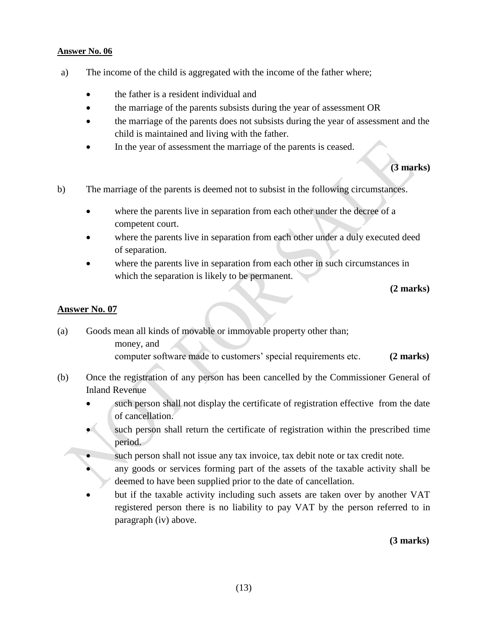- a) The income of the child is aggregated with the income of the father where;
	- the father is a resident individual and
	- the marriage of the parents subsists during the year of assessment OR
	- the marriage of the parents does not subsists during the year of assessment and the child is maintained and living with the father.
	- In the year of assessment the marriage of the parents is ceased.

#### **(3 marks)**

- b) The marriage of the parents is deemed not to subsist in the following circumstances.
	- where the parents live in separation from each other under the decree of a competent court.
	- where the parents live in separation from each other under a duly executed deed of separation.
	- where the parents live in separation from each other in such circumstances in which the separation is likely to be permanent.

#### **(2 marks)**

#### **Answer No. 07**

- (a) Goods mean all kinds of movable or immovable property other than; money, and computer software made to customers' special requirements etc. **(2 marks)**
- (b) Once the registration of any person has been cancelled by the Commissioner General of Inland Revenue
	- such person shall not display the certificate of registration effective from the date of cancellation.
	- such person shall return the certificate of registration within the prescribed time period.
	- such person shall not issue any tax invoice, tax debit note or tax credit note.
	- any goods or services forming part of the assets of the taxable activity shall be deemed to have been supplied prior to the date of cancellation.
	- but if the taxable activity including such assets are taken over by another VAT registered person there is no liability to pay VAT by the person referred to in paragraph (iv) above.

**(3 marks)**